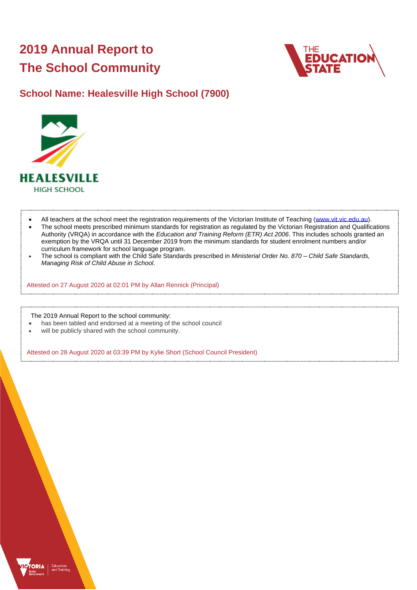# **2019 Annual Report to The School Community**



## **School Name: Healesville High School (7900)**



- All teachers at the school meet the registration requirements of the Victorian Institute of Teaching [\(www.vit.vic.edu.au\)](https://www.vit.vic.edu.au/).
- The school meets prescribed minimum standards for registration as regulated by the Victorian Registration and Qualifications Authority (VRQA) in accordance with the *Education and Training Reform (ETR) Act 2006*. This includes schools granted an exemption by the VRQA until 31 December 2019 from the minimum standards for student enrolment numbers and/or curriculum framework for school language program.
- The school is compliant with the Child Safe Standards prescribed in *Ministerial Order No. 870 – Child Safe Standards, Managing Risk of Child Abuse in School*.

Attested on 27 August 2020 at 02:01 PM by Allan Rennick (Principal)

The 2019 Annual Report to the school community:

- has been tabled and endorsed at a meeting of the school council
- will be publicly shared with the school community.

Attested on 28 August 2020 at 03:39 PM by Kylie Short (School Council President)

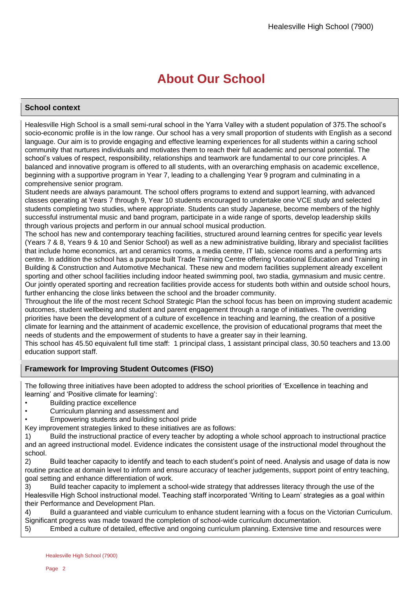# **About Our School**

### **School context**

Healesville High School is a small semi-rural school in the Yarra Valley with a student population of 375.The school's socio-economic profile is in the low range. Our school has a very small proportion of students with English as a second language. Our aim is to provide engaging and effective learning experiences for all students within a caring school community that nurtures individuals and motivates them to reach their full academic and personal potential. The school's values of respect, responsibility, relationships and teamwork are fundamental to our core principles. A balanced and innovative program is offered to all students, with an overarching emphasis on academic excellence, beginning with a supportive program in Year 7, leading to a challenging Year 9 program and culminating in a comprehensive senior program.

Student needs are always paramount. The school offers programs to extend and support learning, with advanced classes operating at Years 7 through 9, Year 10 students encouraged to undertake one VCE study and selected students completing two studies, where appropriate. Students can study Japanese, become members of the highly successful instrumental music and band program, participate in a wide range of sports, develop leadership skills through various projects and perform in our annual school musical production.

The school has new and contemporary teaching facilities, structured around learning centres for specific year levels (Years 7 & 8, Years 9 & 10 and Senior School) as well as a new administrative building, library and specialist facilities that include home economics, art and ceramics rooms, a media centre, IT lab, science rooms and a performing arts centre. In addition the school has a purpose built Trade Training Centre offering Vocational Education and Training in Building & Construction and Automotive Mechanical. These new and modern facilities supplement already excellent sporting and other school facilities including indoor heated swimming pool, two stadia, gymnasium and music centre. Our jointly operated sporting and recreation facilities provide access for students both within and outside school hours, further enhancing the close links between the school and the broader community.

Throughout the life of the most recent School Strategic Plan the school focus has been on improving student academic outcomes, student wellbeing and student and parent engagement through a range of initiatives. The overriding priorities have been the development of a culture of excellence in teaching and learning, the creation of a positive climate for learning and the attainment of academic excellence, the provision of educational programs that meet the needs of students and the empowerment of students to have a greater say in their learning.

This school has 45.50 equivalent full time staff: 1 principal class, 1 assistant principal class, 30.50 teachers and 13.00 education support staff.

### **Framework for Improving Student Outcomes (FISO)**

The following three initiatives have been adopted to address the school priorities of 'Excellence in teaching and learning' and 'Positive climate for learning':

- Building practice excellence
- Curriculum planning and assessment and
- Empowering students and building school pride

Key improvement strategies linked to these initiatives are as follows:

1) Build the instructional practice of every teacher by adopting a whole school approach to instructional practice and an agreed instructional model. Evidence indicates the consistent usage of the instructional model throughout the school.

2) Build teacher capacity to identify and teach to each student's point of need. Analysis and usage of data is now routine practice at domain level to inform and ensure accuracy of teacher judgements, support point of entry teaching, goal setting and enhance differentiation of work.

3) Build teacher capacity to implement a school-wide strategy that addresses literacy through the use of the Healesville High School instructional model. Teaching staff incorporated 'Writing to Learn' strategies as a goal within their Performance and Development Plan.

4) Build a guaranteed and viable curriculum to enhance student learning with a focus on the Victorian Curriculum. Significant progress was made toward the completion of school-wide curriculum documentation.

5) Embed a culture of detailed, effective and ongoing curriculum planning. Extensive time and resources were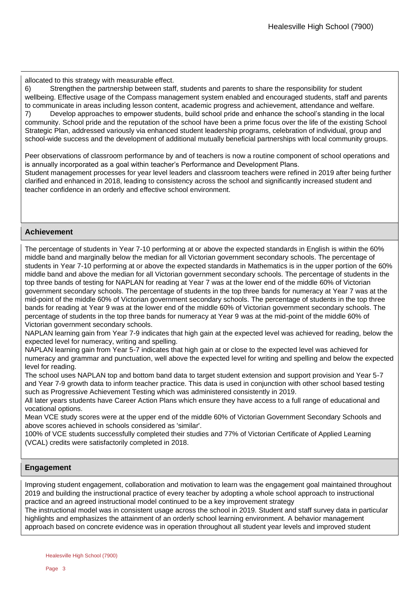allocated to this strategy with measurable effect.

6) Strengthen the partnership between staff, students and parents to share the responsibility for student wellbeing. Effective usage of the Compass management system enabled and encouraged students, staff and parents to communicate in areas including lesson content, academic progress and achievement, attendance and welfare. 7) Develop approaches to empower students, build school pride and enhance the school's standing in the local community. School pride and the reputation of the school have been a prime focus over the life of the existing School Strategic Plan, addressed variously via enhanced student leadership programs, celebration of individual, group and school-wide success and the development of additional mutually beneficial partnerships with local community groups.

Peer observations of classroom performance by and of teachers is now a routine component of school operations and is annually incorporated as a goal within teacher's Performance and Development Plans.

Student management processes for year level leaders and classroom teachers were refined in 2019 after being further clarified and enhanced in 2018, leading to consistency across the school and significantly increased student and teacher confidence in an orderly and effective school environment.

### **Achievement**

The percentage of students in Year 7-10 performing at or above the expected standards in English is within the 60% middle band and marginally below the median for all Victorian government secondary schools. The percentage of students in Year 7-10 performing at or above the expected standards in Mathematics is in the upper portion of the 60% middle band and above the median for all Victorian government secondary schools. The percentage of students in the top three bands of testing for NAPLAN for reading at Year 7 was at the lower end of the middle 60% of Victorian government secondary schools. The percentage of students in the top three bands for numeracy at Year 7 was at the mid-point of the middle 60% of Victorian government secondary schools. The percentage of students in the top three bands for reading at Year 9 was at the lower end of the middle 60% of Victorian government secondary schools. The percentage of students in the top three bands for numeracy at Year 9 was at the mid-point of the middle 60% of Victorian government secondary schools.

NAPLAN learning gain from Year 7-9 indicates that high gain at the expected level was achieved for reading, below the expected level for numeracy, writing and spelling.

NAPLAN learning gain from Year 5-7 indicates that high gain at or close to the expected level was achieved for numeracy and grammar and punctuation, well above the expected level for writing and spelling and below the expected level for reading.

The school uses NAPLAN top and bottom band data to target student extension and support provision and Year 5-7 and Year 7-9 growth data to inform teacher practice. This data is used in conjunction with other school based testing such as Progressive Achievement Testing which was administered consistently in 2019.

All later years students have Career Action Plans which ensure they have access to a full range of educational and vocational options.

Mean VCE study scores were at the upper end of the middle 60% of Victorian Government Secondary Schools and above scores achieved in schools considered as 'similar'.

100% of VCE students successfully completed their studies and 77% of Victorian Certificate of Applied Learning (VCAL) credits were satisfactorily completed in 2018.

### **Engagement**

Improving student engagement, collaboration and motivation to learn was the engagement goal maintained throughout 2019 and building the instructional practice of every teacher by adopting a whole school approach to instructional practice and an agreed instructional model continued to be a key improvement strategy

The instructional model was in consistent usage across the school in 2019. Student and staff survey data in particular highlights and emphasizes the attainment of an orderly school learning environment. A behavior management approach based on concrete evidence was in operation throughout all student year levels and improved student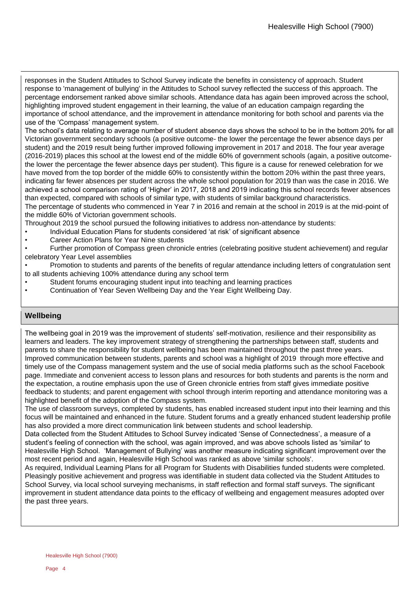responses in the Student Attitudes to School Survey indicate the benefits in consistency of approach. Student response to 'management of bullying' in the Attitudes to School survey reflected the success of this approach. The percentage endorsement ranked above similar schools. Attendance data has again been improved across the school, highlighting improved student engagement in their learning, the value of an education campaign regarding the importance of school attendance, and the improvement in attendance monitoring for both school and parents via the use of the 'Compass' management system.

The school's data relating to average number of student absence days shows the school to be in the bottom 20% for all Victorian government secondary schools (a positive outcome- the lower the percentage the fewer absence days per student) and the 2019 result being further improved following improvement in 2017 and 2018. The four year average (2016-2019) places this school at the lowest end of the middle 60% of government schools (again, a positive outcomethe lower the percentage the fewer absence days per student). This figure is a cause for renewed celebration for we have moved from the top border of the middle 60% to consistently within the bottom 20% within the past three years, indicating far fewer absences per student across the whole school population for 2019 than was the case in 2016. We achieved a school comparison rating of 'Higher' in 2017, 2018 and 2019 indicating this school records fewer absences than expected, compared with schools of similar type, with students of similar background characteristics. The percentage of students who commenced in Year 7 in 2016 and remain at the school in 2019 is at the mid-point of

the middle 60% of Victorian government schools. Throughout 2019 the school pursued the following initiatives to address non-attendance by students:

• Individual Education Plans for students considered 'at risk' of significant absence

• Career Action Plans for Year Nine students

• Further promotion of Compass green chronicle entries (celebrating positive student achievement) and regular celebratory Year Level assemblies

• Promotion to students and parents of the benefits of regular attendance including letters of congratulation sent to all students achieving 100% attendance during any school term

- Student forums encouraging student input into teaching and learning practices
- Continuation of Year Seven Wellbeing Day and the Year Eight Wellbeing Day.

### **Wellbeing**

The wellbeing goal in 2019 was the improvement of students' self-motivation, resilience and their responsibility as learners and leaders. The key improvement strategy of strengthening the partnerships between staff, students and parents to share the responsibility for student wellbeing has been maintained throughout the past three years. Improved communication between students, parents and school was a highlight of 2019 through more effective and timely use of the Compass management system and the use of social media platforms such as the school Facebook page. Immediate and convenient access to lesson plans and resources for both students and parents is the norm and the expectation, a routine emphasis upon the use of Green chronicle entries from staff gives immediate positive feedback to students; and parent engagement with school through interim reporting and attendance monitoring was a highlighted benefit of the adoption of the Compass system.

The use of classroom surveys, completed by students, has enabled increased student input into their learning and this focus will be maintained and enhanced in the future. Student forums and a greatly enhanced student leadership profile has also provided a more direct communication link between students and school leadership.

Data collected from the Student Attitudes to School Survey indicated 'Sense of Connectedness', a measure of a student's feeling of connection with the school, was again improved, and was above schools listed as 'similar' to Healesville High School. 'Management of Bullying' was another measure indicating significant improvement over the most recent period and again, Healesville High School was ranked as above 'similar schools'.

As required, Individual Learning Plans for all Program for Students with Disabilities funded students were completed. Pleasingly positive achievement and progress was identifiable in student data collected via the Student Attitudes to School Survey, via local school surveying mechanisms, in staff reflection and formal staff surveys. The significant improvement in student attendance data points to the efficacy of wellbeing and engagement measures adopted over the past three years.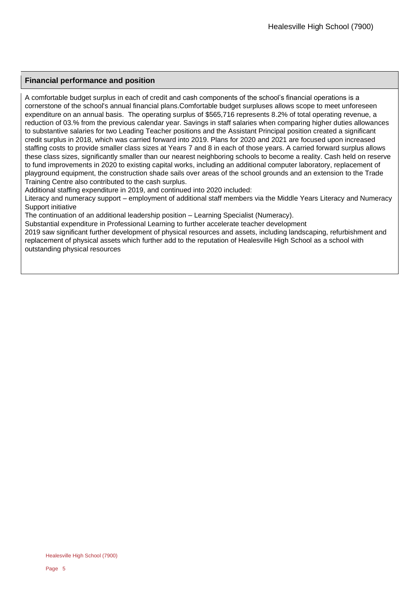### **Financial performance and position**

A comfortable budget surplus in each of credit and cash components of the school's financial operations is a cornerstone of the school's annual financial plans.Comfortable budget surpluses allows scope to meet unforeseen expenditure on an annual basis. The operating surplus of \$565,716 represents 8.2% of total operating revenue, a reduction of 03.% from the previous calendar year. Savings in staff salaries when comparing higher duties allowances to substantive salaries for two Leading Teacher positions and the Assistant Principal position created a significant credit surplus in 2018, which was carried forward into 2019. Plans for 2020 and 2021 are focused upon increased staffing costs to provide smaller class sizes at Years 7 and 8 in each of those years. A carried forward surplus allows these class sizes, significantly smaller than our nearest neighboring schools to become a reality. Cash held on reserve to fund improvements in 2020 to existing capital works, including an additional computer laboratory, replacement of playground equipment, the construction shade sails over areas of the school grounds and an extension to the Trade Training Centre also contributed to the cash surplus.

Additional staffing expenditure in 2019, and continued into 2020 included:

Literacy and numeracy support – employment of additional staff members via the Middle Years Literacy and Numeracy Support initiative

The continuation of an additional leadership position – Learning Specialist (Numeracy).

Substantial expenditure in Professional Learning to further accelerate teacher development

2019 saw significant further development of physical resources and assets, including landscaping, refurbishment and replacement of physical assets which further add to the reputation of Healesville High School as a school with outstanding physical resources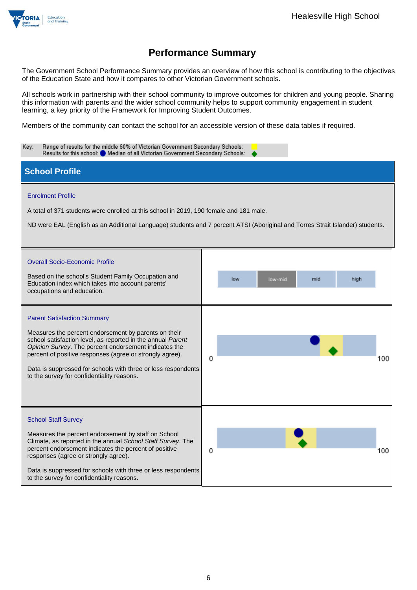

The Government School Performance Summary provides an overview of how this school is contributing to the objectives of the Education State and how it compares to other Victorian Government schools.

All schools work in partnership with their school community to improve outcomes for children and young people. Sharing this information with parents and the wider school community helps to support community engagement in student learning, a key priority of the Framework for Improving Student Outcomes.

Members of the community can contact the school for an accessible version of these data tables if required.

| Range of results for the middle 60% of Victorian Government Secondary Schools:<br>Key:<br>Results for this school: O Median of all Victorian Government Secondary Schools:                                                                                                                                                                                                                    |                               |  |  |  |  |
|-----------------------------------------------------------------------------------------------------------------------------------------------------------------------------------------------------------------------------------------------------------------------------------------------------------------------------------------------------------------------------------------------|-------------------------------|--|--|--|--|
| <b>School Profile</b>                                                                                                                                                                                                                                                                                                                                                                         |                               |  |  |  |  |
| <b>Enrolment Profile</b><br>A total of 371 students were enrolled at this school in 2019, 190 female and 181 male.<br>ND were EAL (English as an Additional Language) students and 7 percent ATSI (Aboriginal and Torres Strait Islander) students.                                                                                                                                           |                               |  |  |  |  |
| <b>Overall Socio-Economic Profile</b><br>Based on the school's Student Family Occupation and<br>Education index which takes into account parents'<br>occupations and education.                                                                                                                                                                                                               | mid<br>high<br>low<br>low-mid |  |  |  |  |
| <b>Parent Satisfaction Summary</b><br>Measures the percent endorsement by parents on their<br>school satisfaction level, as reported in the annual Parent<br>Opinion Survey. The percent endorsement indicates the<br>percent of positive responses (agree or strongly agree).<br>Data is suppressed for schools with three or less respondents<br>to the survey for confidentiality reasons. | 100<br>O                      |  |  |  |  |
| <b>School Staff Survey</b><br>Measures the percent endorsement by staff on School<br>Climate, as reported in the annual School Staff Survey. The<br>percent endorsement indicates the percent of positive<br>responses (agree or strongly agree).<br>Data is suppressed for schools with three or less respondents<br>to the survey for confidentiality reasons.                              | 100<br>0                      |  |  |  |  |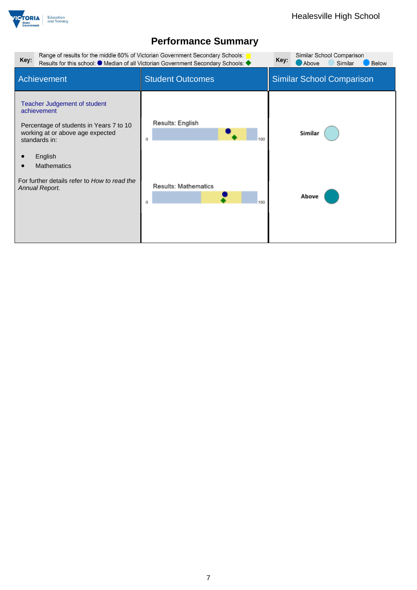

| Key:                                                                                                                                                                                                                                           | Range of results for the middle 60% of Victorian Government Secondary Schools:<br>Results for this school: ● Median of all Victorian Government Secondary Schools: ◆ | Similar School Comparison<br>Key:<br>Above<br>Below<br>Similar |
|------------------------------------------------------------------------------------------------------------------------------------------------------------------------------------------------------------------------------------------------|----------------------------------------------------------------------------------------------------------------------------------------------------------------------|----------------------------------------------------------------|
| Achievement                                                                                                                                                                                                                                    | <b>Student Outcomes</b>                                                                                                                                              | <b>Similar School Comparison</b>                               |
| Teacher Judgement of student<br>achievement<br>Percentage of students in Years 7 to 10<br>working at or above age expected<br>standards in:<br>English<br><b>Mathematics</b><br>For further details refer to How to read the<br>Annual Report. | Results: English<br>Ű<br>Results: Mathematics<br>100<br>Ű                                                                                                            | Similar<br>Above                                               |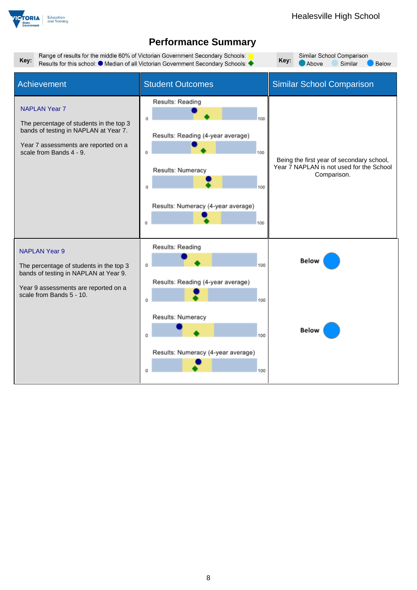



Range of results for the middle 60% of Victorian Government Secondary Schools: Key: Results for this school: ● Median of all Victorian Government Secondary Schools: ◆

Similar School Comparison Key: Above Similar Below  $\overline{\phantom{a}}$ 

| Achievement                                                                                                                                                                  | <b>Student Outcomes</b>                                                                                                                                          | <b>Similar School Comparison</b>                                                                     |
|------------------------------------------------------------------------------------------------------------------------------------------------------------------------------|------------------------------------------------------------------------------------------------------------------------------------------------------------------|------------------------------------------------------------------------------------------------------|
| <b>NAPLAN Year 7</b><br>The percentage of students in the top 3<br>bands of testing in NAPLAN at Year 7.<br>Year 7 assessments are reported on a<br>scale from Bands 4 - 9.  | Results: Reading<br>100<br>Results: Reading (4-year average)<br>100<br>Results: Numeracy<br>100<br>Results: Numeracy (4-year average)<br>100<br>$\Omega$         | Being the first year of secondary school,<br>Year 7 NAPLAN is not used for the School<br>Comparison. |
| <b>NAPLAN Year 9</b><br>The percentage of students in the top 3<br>bands of testing in NAPLAN at Year 9.<br>Year 9 assessments are reported on a<br>scale from Bands 5 - 10. | Results: Reading<br>100<br>0<br>Results: Reading (4-year average)<br>100<br>0<br>Results: Numeracy<br>100<br>0<br>Results: Numeracy (4-year average)<br>100<br>O | Below<br>Below                                                                                       |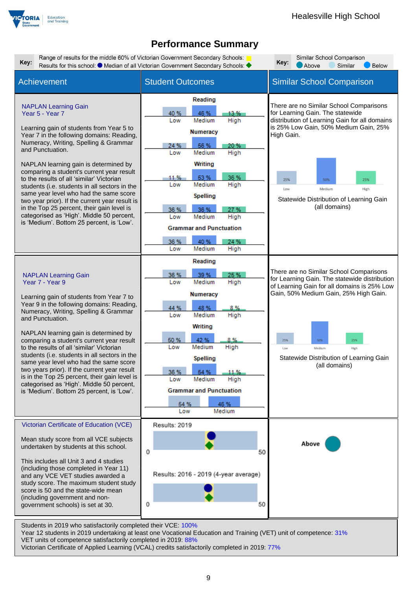



Victorian Certificate of Applied Learning (VCAL) credits satisfactorily completed in 2019: 77%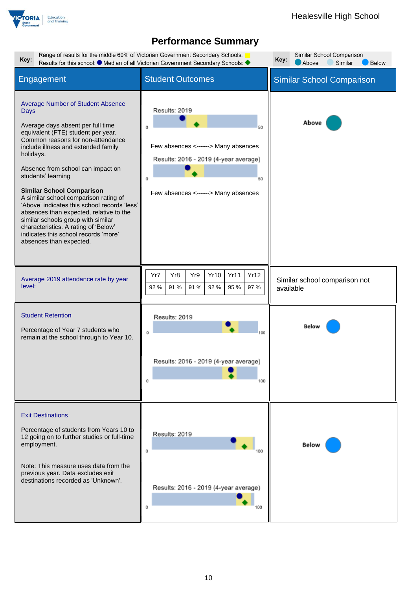

| Key:                                                                                                                                                                                                                                                                                                                                                                                                                                                                                                                                                                                                            | Range of results for the middle 60% of Victorian Government Secondary Schools:<br>Results for this school: ● Median of all Victorian Government Secondary Schools: ◆ |                                            |  |  |  |
|-----------------------------------------------------------------------------------------------------------------------------------------------------------------------------------------------------------------------------------------------------------------------------------------------------------------------------------------------------------------------------------------------------------------------------------------------------------------------------------------------------------------------------------------------------------------------------------------------------------------|----------------------------------------------------------------------------------------------------------------------------------------------------------------------|--------------------------------------------|--|--|--|
| Engagement                                                                                                                                                                                                                                                                                                                                                                                                                                                                                                                                                                                                      | <b>Student Outcomes</b>                                                                                                                                              | <b>Similar School Comparison</b>           |  |  |  |
| <b>Average Number of Student Absence</b><br><b>Days</b><br>Average days absent per full time<br>equivalent (FTE) student per year.<br>Common reasons for non-attendance<br>include illness and extended family<br>holidays.<br>Absence from school can impact on<br>students' learning<br><b>Similar School Comparison</b><br>A similar school comparison rating of<br>'Above' indicates this school records 'less'<br>absences than expected, relative to the<br>similar schools group with similar<br>characteristics. A rating of 'Below'<br>indicates this school records 'more'<br>absences than expected. | Results: 2019<br>0<br>50<br>Few absences <------> Many absences<br>Results: 2016 - 2019 (4-year average)<br>0<br>50<br>Few absences <------> Many absences           | Above                                      |  |  |  |
| Average 2019 attendance rate by year<br>level:                                                                                                                                                                                                                                                                                                                                                                                                                                                                                                                                                                  | Yr8<br><b>Yr10</b><br>Yr11<br>Yr12<br>Yr7<br>Yr9<br>92%<br>97 %<br>92 %<br>91 %<br>91 %<br>95 %                                                                      | Similar school comparison not<br>available |  |  |  |
| <b>Student Retention</b><br>Percentage of Year 7 students who<br>remain at the school through to Year 10.                                                                                                                                                                                                                                                                                                                                                                                                                                                                                                       | Results: 2019<br>o<br>Results: 2016 - 2019 (4-year average)<br>100<br>0                                                                                              | Below                                      |  |  |  |
| <b>Exit Destinations</b><br>Percentage of students from Years 10 to<br>12 going on to further studies or full-time<br>employment.<br>Note: This measure uses data from the<br>previous year. Data excludes exit<br>destinations recorded as 'Unknown'.                                                                                                                                                                                                                                                                                                                                                          | Results: 2019<br>Û<br>Results: 2016 - 2019 (4-year average)<br>0                                                                                                     | Below                                      |  |  |  |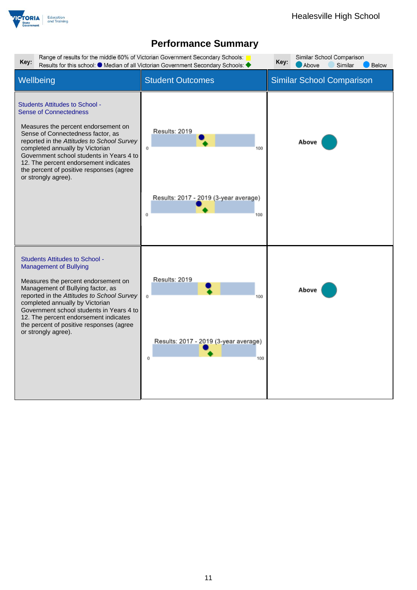

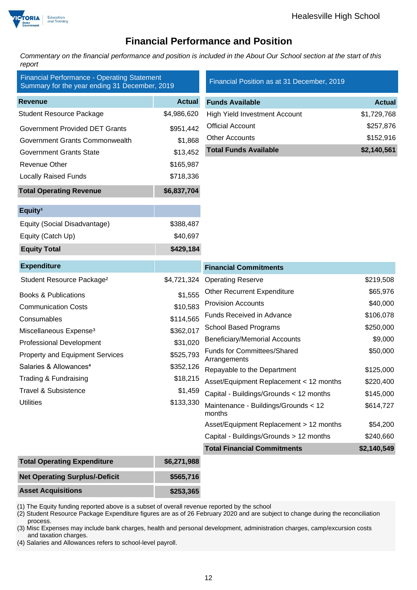

### **Financial Performance and Position**

*Commentary on the financial performance and position is included in the About Our School section at the start of this report*

| <b>Financial Performance - Operating Statement</b><br>Summary for the year ending 31 December, 2019 |               | Financial Position as at 31 December, 2019         |               |
|-----------------------------------------------------------------------------------------------------|---------------|----------------------------------------------------|---------------|
| <b>Revenue</b>                                                                                      | <b>Actual</b> | <b>Funds Available</b>                             | <b>Actual</b> |
| <b>Student Resource Package</b>                                                                     | \$4,986,620   | <b>High Yield Investment Account</b>               | \$1,729,768   |
| <b>Government Provided DET Grants</b>                                                               | \$951,442     | <b>Official Account</b>                            | \$257,876     |
| Government Grants Commonwealth                                                                      | \$1,868       | <b>Other Accounts</b>                              | \$152,916     |
| <b>Government Grants State</b>                                                                      | \$13,452      | <b>Total Funds Available</b>                       | \$2,140,561   |
| Revenue Other                                                                                       | \$165,987     |                                                    |               |
| <b>Locally Raised Funds</b>                                                                         | \$718,336     |                                                    |               |
| <b>Total Operating Revenue</b>                                                                      | \$6,837,704   |                                                    |               |
| Equity <sup>1</sup>                                                                                 |               |                                                    |               |
| Equity (Social Disadvantage)                                                                        | \$388,487     |                                                    |               |
| Equity (Catch Up)                                                                                   | \$40,697      |                                                    |               |
| <b>Equity Total</b>                                                                                 | \$429,184     |                                                    |               |
| <b>Expenditure</b>                                                                                  |               | <b>Financial Commitments</b>                       |               |
| Student Resource Package <sup>2</sup>                                                               | \$4,721,324   | <b>Operating Reserve</b>                           | \$219,508     |
| <b>Books &amp; Publications</b>                                                                     | \$1,555       | <b>Other Recurrent Expenditure</b>                 | \$65,976      |
| <b>Communication Costs</b>                                                                          | \$10,583      | <b>Provision Accounts</b>                          | \$40,000      |
| Consumables                                                                                         | \$114,565     | Funds Received in Advance                          | \$106,078     |
| Miscellaneous Expense <sup>3</sup>                                                                  | \$362,017     | <b>School Based Programs</b>                       | \$250,000     |
| <b>Professional Development</b>                                                                     | \$31,020      | <b>Beneficiary/Memorial Accounts</b>               | \$9,000       |
| <b>Property and Equipment Services</b>                                                              | \$525,793     | <b>Funds for Committees/Shared</b><br>Arrangements | \$50,000      |
| Salaries & Allowances <sup>4</sup>                                                                  | \$352,126     | Repayable to the Department                        | \$125,000     |
| Trading & Fundraising                                                                               | \$18,215      | Asset/Equipment Replacement < 12 months            | \$220,400     |
| <b>Travel &amp; Subsistence</b>                                                                     | \$1,459       | Capital - Buildings/Grounds < 12 months            | \$145,000     |
| <b>Utilities</b>                                                                                    | \$133,330     | Maintenance - Buildings/Grounds < 12<br>months     | \$614,727     |
|                                                                                                     |               | Asset/Equipment Replacement > 12 months            | \$54,200      |
|                                                                                                     |               | Capital - Buildings/Grounds > 12 months            | \$240,660     |
|                                                                                                     |               | <b>Total Financial Commitments</b>                 | \$2,140,549   |
| <b>Total Operating Expenditure</b>                                                                  | \$6,271,988   |                                                    |               |
| <b>Net Operating Surplus/-Deficit</b>                                                               | \$565,716     |                                                    |               |
| <b>Asset Acquisitions</b>                                                                           | \$253,365     |                                                    |               |

(1) The Equity funding reported above is a subset of overall revenue reported by the school

(2) Student Resource Package Expenditure figures are as of 26 February 2020 and are subject to change during the reconciliation process.

(3) Misc Expenses may include bank charges, health and personal development, administration charges, camp/excursion costs and taxation charges.

(4) Salaries and Allowances refers to school-level payroll.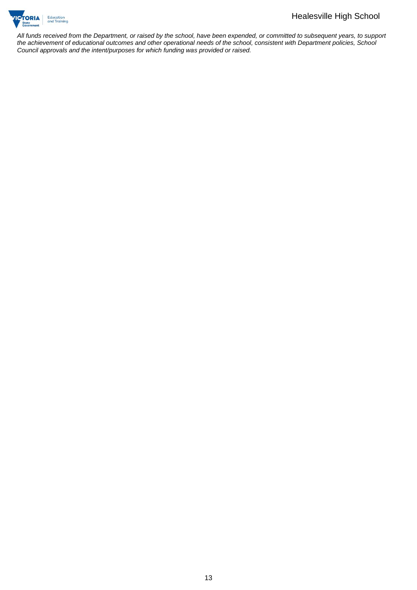

*All funds received from the Department, or raised by the school, have been expended, or committed to subsequent years, to support the achievement of educational outcomes and other operational needs of the school, consistent with Department policies, School Council approvals and the intent/purposes for which funding was provided or raised.*